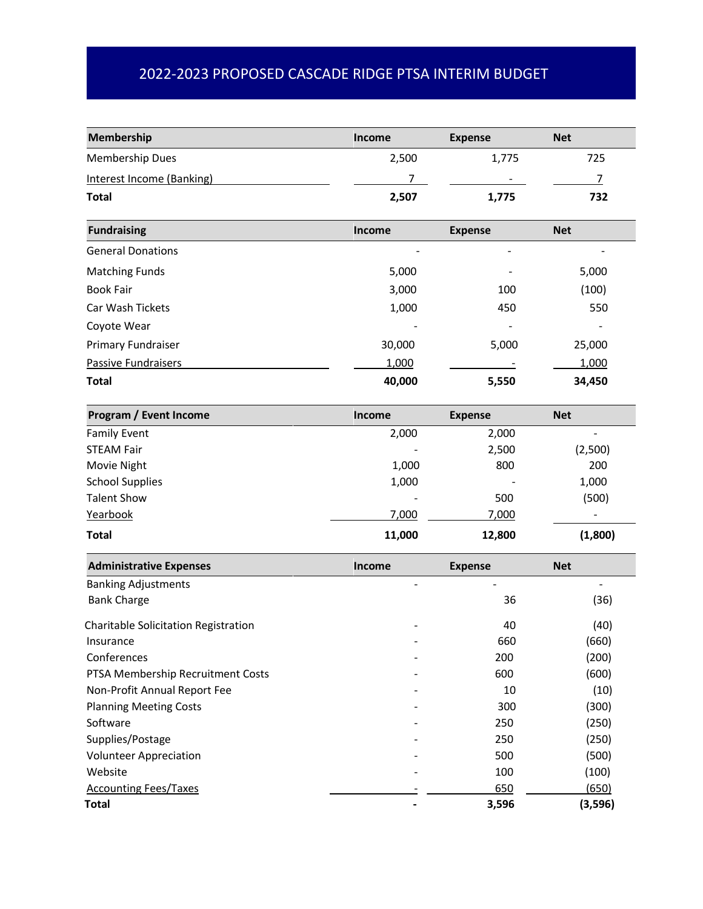## 2022-2023 PROPOSED CASCADE RIDGE PTSA INTERIM BUDGET

| Membership                           | Income | <b>Expense</b>           | <b>Net</b>     |
|--------------------------------------|--------|--------------------------|----------------|
| Membership Dues                      | 2,500  | 1,775                    | 725            |
| <b>Interest Income (Banking)</b>     | 7      |                          | $\overline{7}$ |
| <b>Total</b>                         | 2,507  | 1,775                    | 732            |
| <b>Fundraising</b>                   | Income | <b>Expense</b>           | <b>Net</b>     |
| <b>General Donations</b>             |        | $\overline{\phantom{0}}$ |                |
| <b>Matching Funds</b>                | 5,000  |                          | 5,000          |
| <b>Book Fair</b>                     | 3,000  | 100                      | (100)          |
| Car Wash Tickets                     | 1,000  | 450                      | 550            |
| Coyote Wear                          |        |                          |                |
| Primary Fundraiser                   | 30,000 | 5,000                    | 25,000         |
| <b>Passive Fundraisers</b>           | 1,000  |                          | 1,000          |
| <b>Total</b>                         | 40,000 | 5,550                    | 34,450         |
| Program / Event Income               | Income | <b>Expense</b>           | <b>Net</b>     |
| <b>Family Event</b>                  | 2,000  | 2,000                    |                |
| <b>STEAM Fair</b>                    |        | 2,500                    | (2,500)        |
| Movie Night                          | 1,000  | 800                      | 200            |
| <b>School Supplies</b>               | 1,000  |                          | 1,000          |
| <b>Talent Show</b>                   |        | 500                      | (500)          |
| Yearbook                             | 7,000  | 7,000                    |                |
| <b>Total</b>                         | 11,000 | 12,800                   | (1,800)        |
| <b>Administrative Expenses</b>       | Income | <b>Expense</b>           | <b>Net</b>     |
| <b>Banking Adjustments</b>           |        |                          |                |
| <b>Bank Charge</b>                   |        | 36                       | (36)           |
| Charitable Solicitation Registration |        | 40                       | (40)           |
| Insurance                            |        | 660                      | (660)          |
| Conferences                          |        | 200                      | (200)          |
| PTSA Membership Recruitment Costs    |        | 600                      | (600)          |
| Non-Profit Annual Report Fee         |        | 10                       | (10)           |
| <b>Planning Meeting Costs</b>        |        | 300                      | (300)          |
| Software                             |        | 250                      | (250)          |
| Supplies/Postage                     |        | 250                      | (250)          |
| <b>Volunteer Appreciation</b>        |        | 500                      | (500)          |
| Website                              |        | 100                      | (100)          |
| <b>Accounting Fees/Taxes</b>         |        | 650                      | (650)          |
| <b>Total</b>                         |        | 3,596                    | (3, 596)       |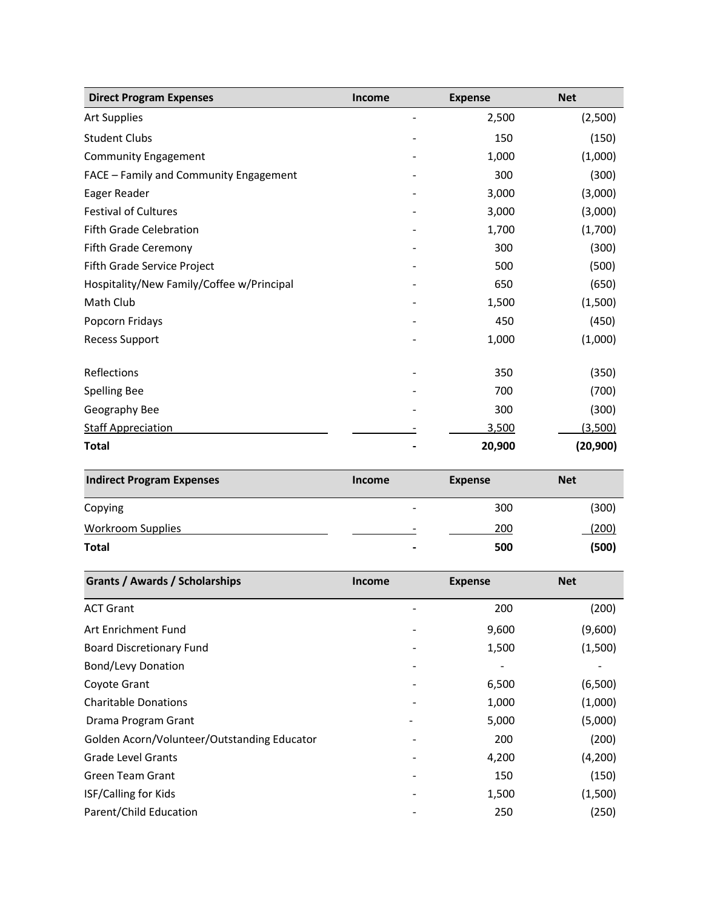| <b>Direct Program Expenses</b>            | <b>Income</b> | <b>Expense</b> | <b>Net</b> |
|-------------------------------------------|---------------|----------------|------------|
| <b>Art Supplies</b>                       |               | 2,500          | (2,500)    |
| <b>Student Clubs</b>                      |               | 150            | (150)      |
| <b>Community Engagement</b>               |               | 1,000          | (1,000)    |
| FACE - Family and Community Engagement    |               | 300            | (300)      |
| Eager Reader                              |               | 3,000          | (3,000)    |
| <b>Festival of Cultures</b>               |               | 3,000          | (3,000)    |
| Fifth Grade Celebration                   |               | 1,700          | (1,700)    |
| Fifth Grade Ceremony                      |               | 300            | (300)      |
| Fifth Grade Service Project               |               | 500            | (500)      |
| Hospitality/New Family/Coffee w/Principal |               | 650            | (650)      |
| Math Club                                 |               | 1,500          | (1,500)    |
| Popcorn Fridays                           |               | 450            | (450)      |
| <b>Recess Support</b>                     |               | 1,000          | (1,000)    |
| Reflections                               |               | 350            | (350)      |
| <b>Spelling Bee</b>                       |               | 700            | (700)      |
| Geography Bee                             |               | 300            | (300)      |
| <b>Staff Appreciation</b>                 |               | 3,500          | (3,500)    |
| <b>Total</b>                              |               | 20,900         | (20, 900)  |

| <b>Indirect Program Expenses</b> | <b>Income</b>  | <b>Expense</b> | <b>Net</b>   |
|----------------------------------|----------------|----------------|--------------|
| Copying                          | -              | 300            | (300)        |
| Workroom Supplies                | -              | 200            | <u>(200)</u> |
| Total                            | $\blacksquare$ | 500            | (500)        |

| <b>Grants / Awards / Scholarships</b>       | <b>Income</b> | <b>Expense</b> | <b>Net</b> |
|---------------------------------------------|---------------|----------------|------------|
| <b>ACT Grant</b>                            |               | 200            | (200)      |
| Art Enrichment Fund                         |               | 9,600          | (9,600)    |
| <b>Board Discretionary Fund</b>             |               | 1,500          | (1,500)    |
| Bond/Levy Donation                          |               |                |            |
| Coyote Grant                                |               | 6,500          | (6,500)    |
| <b>Charitable Donations</b>                 |               | 1,000          | (1,000)    |
| Drama Program Grant                         |               | 5,000          | (5,000)    |
| Golden Acorn/Volunteer/Outstanding Educator |               | 200            | (200)      |
| <b>Grade Level Grants</b>                   |               | 4,200          | (4,200)    |
| <b>Green Team Grant</b>                     |               | 150            | (150)      |
| <b>ISF/Calling for Kids</b>                 |               | 1,500          | (1,500)    |
| Parent/Child Education                      |               | 250            | (250)      |